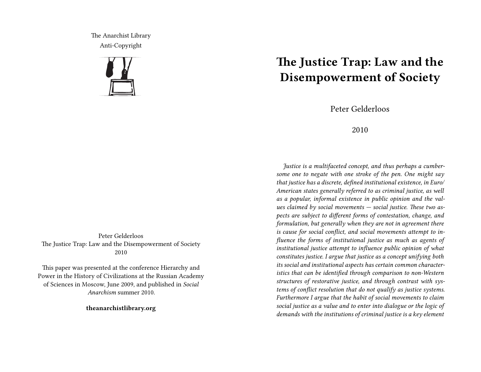The Anarchist Library Anti-Copyright



Peter Gelderloos The Justice Trap: Law and the Disempowerment of Society 2010

This paper was presented at the conference Hierarchy and Power in the History of Civilizations at the Russian Academy of Sciences in Moscow, June 2009, and published in *Social Anarchism* summer 2010.

**theanarchistlibrary.org**

## **The Justice Trap: Law and the Disempowerment of Society**

Peter Gelderloos

## 2010

*Justice is a multifaceted concept, and thus perhaps a cumbersome one to negate with one stroke of the pen. One might say that justice has a discrete, defined institutional existence, in Euro/ American states generally referred to as criminal justice, as well as a popular, informal existence in public opinion and the values claimed by social movements — social justice. These two aspects are subject to different forms of contestation, change, and formulation, but generally when they are not in agreement there is cause for social conflict, and social movements attempt to influence the forms of institutional justice as much as agents of institutional justice attempt to influence public opinion of what constitutes justice. I argue that justice as a concept unifying both its social and institutional aspects has certain common characteristics that can be identified through comparison to non-Western structures of restorative justice, and through contrast with systems of conflict resolution that do not qualify as justice systems. Furthermore I argue that the habit of social movements to claim social justice as a value and to enter into dialogue or the logic of demands with the institutions of criminal justice is a key element*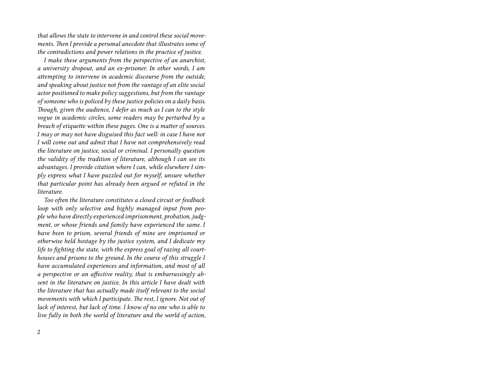*that allows the state to intervene in and control these social movements. Then I provide a personal anecdote that illustrates some of the contradictions and power relations in the practice of justice.*

*I make these arguments from the perspective of an anarchist, a university dropout, and an ex-prisoner. In other words, I am attempting to intervene in academic discourse from the outside, and speaking about justice not from the vantage of an elite social actor positioned to make policy suggestions, but from the vantage of someone who is policed by these justice policies on a daily basis. Though, given the audience, I defer as much as I can to the style vogue in academic circles, some readers may be perturbed by a breach of etiquette within these pages. One is a matter of sources. I may or may not have disguised this fact well: in case I have not I will come out and admit that I have not comprehensively read the literature on justice, social or criminal. I personally question the validity of the tradition of literature, although I can see its advantages. I provide citation where I can, while elsewhere I simply express what I have puzzled out for myself, unsure whether that particular point has already been argued or refuted in the literature.*

*Too often the literature constitutes a closed circuit or feedback loop with only selective and highly managed input from people who have directly experienced imprisonment, probation, judgment, or whose friends and family have experienced the same. I have been to prison, several friends of mine are imprisoned or otherwise held hostage by the justice system, and I dedicate my life to fighting the state, with the express goal of razing all courthouses and prisons to the ground. In the course of this struggle I have accumulated experiences and information, and most of all a perspective or an affective reality, that is embarrassingly absent in the literature on justice. In this article I have dealt with the literature that has actually made itself relevant to the social movements with which I participate. The rest, I ignore. Not out of lack of interest, but lack of time. I know of no one who is able to live fully in both the world of literature and the world of action,*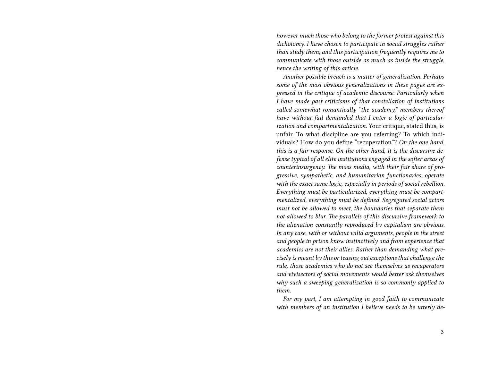*however much those who belong to the former protest against this dichotomy. I have chosen to participate in social struggles rather than study them, and this participation frequently requires me to communicate with those outside as much as inside the struggle, hence the writing of this article.*

*Another possible breach is a matter of generalization. Perhaps some of the most obvious generalizations in these pages are expressed in the critique of academic discourse. Particularly when I have made past criticisms of that constellation of institutions called somewhat romantically "the academy," members thereof have without fail demanded that I enter a logic of particularization and compartmentalization.* Your critique, stated thus, is unfair. To what discipline are you referring? To which individuals? How do you define "recuperation"? *On the one hand, this is a fair response. On the other hand, it is the discursive defense typical of all elite institutions engaged in the softer areas of counterinsurgency. The mass media, with their fair share of progressive, sympathetic, and humanitarian functionaries, operate with the exact same logic, especially in periods of social rebellion. Everything must be particularized, everything must be compartmentalized, everything must be defined. Segregated social actors must not be allowed to meet, the boundaries that separate them not allowed to blur. The parallels of this discursive framework to the alienation constantly reproduced by capitalism are obvious. In any case, with or without valid arguments, people in the street and people in prison know instinctively and from experience that academics are not their allies. Rather than demanding what precisely is meant by this or teasing out exceptions that challenge the rule, those academics who do not see themselves as recuperators and vivisectors of social movements would better ask themselves why such a sweeping generalization is so commonly applied to them.*

*For my part, I am attempting in good faith to communicate with members of an institution I believe needs to be utterly de-*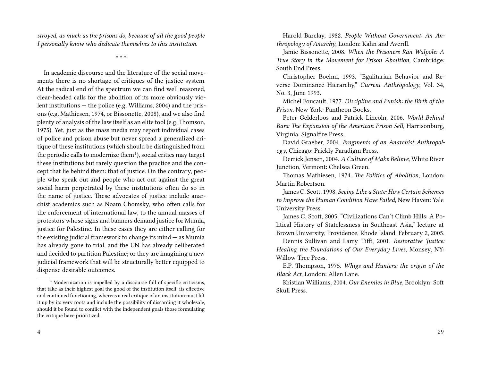*stroyed, as much as the prisons do, because of all the good people I personally know who dedicate themselves to this institution.*

\* \* \*

In academic discourse and the literature of the social movements there is no shortage of critiques of the justice system. At the radical end of the spectrum we can find well reasoned, clear-headed calls for the abolition of its more obviously violent institutions — the police (e.g. Williams, 2004) and the prisons (e.g. Mathiesen, 1974, or Bissonette, 2008), and we also find plenty of analysis of the law itself as an elite tool (e.g. Thomson, 1975). Yet, just as the mass media may report individual cases of police and prison abuse but never spread a generalized critique of these institutions (which should be distinguished from the periodic calls to modernize them<sup>1</sup>), social critics may target these institutions but rarely question the practice and the concept that lie behind them: that of justice. On the contrary, people who speak out and people who act out against the great social harm perpetrated by these institutions often do so in the name of justice. These advocates of justice include anarchist academics such as Noam Chomsky, who often calls for the enforcement of international law, to the annual masses of protestors whose signs and banners demand justice for Mumia, justice for Palestine. In these cases they are either calling for the existing judicial framework to change its mind  $-$  as Mumia has already gone to trial, and the UN has already deliberated and decided to partition Palestine; or they are imagining a new judicial framework that will be structurally better equipped to dispense desirable outcomes.

4

Harold Barclay, 1982. *People Without Government: An Anthropology of Anarchy*, London: Kahn and Averill.

Jamie Bissonette, 2008. *When the Prisoners Ran Walpole: A True Story in the Movement for Prison Abolition,* Cambridge: South End Press.

Christopher Boehm, 1993. "Egalitarian Behavior and Reverse Dominance Hierarchy," *Current Anthropology*, Vol. 34, No. 3, June 1993.

Michel Foucault, 1977. *Discipline and Punish: the Birth of the Prison.* New York: Pantheon Books.

Peter Gelderloos and Patrick Lincoln, 2006. *World Behind Bars: The Expansion of the American Prison Sell,* Harrisonburg, Virginia: Signalfire Press.

David Graeber, 2004. *Fragments of an Anarchist Anthropology*, Chicago: Prickly Paradigm Press.

Derrick Jensen, 2004. *A Culture of Make Believe,* White River Junction, Vermont: Chelsea Green.

Thomas Mathiesen, 1974. *The Politics of Abolition,* London: Martin Robertson.

James C. Scott, 1998. *Seeing Like a State: How Certain Schemes to Improve the Human Condition Have Failed,* New Haven: Yale University Press.

James C. Scott, 2005. "Civilizations Can't Climb Hills: A Political History of Statelessness in Southeast Asia," lecture at Brown University, Providence, Rhode Island, February 2, 2005.

Dennis Sullivan and Larry Tifft, 2001. *Restorative Justice: Healing the Foundations of Our Everyday Lives,* Monsey, NY: Willow Tree Press.

E.P. Thompson, 1975. *Whigs and Hunters: the origin of the Black Act,* London: Allen Lane.

Kristian Williams, 2004. *Our Enemies in Blue,* Brooklyn: Soft Skull Press.

 $1$  Modernization is impelled by a discourse full of specific criticisms, that take as their highest goal the good of the institution itself, its effective and continued functioning, whereas a real critique of an institution must lift it up by its very roots and include the possibility of discarding it wholesale, should it be found to conflict with the independent goals those formulating the critique have prioritized.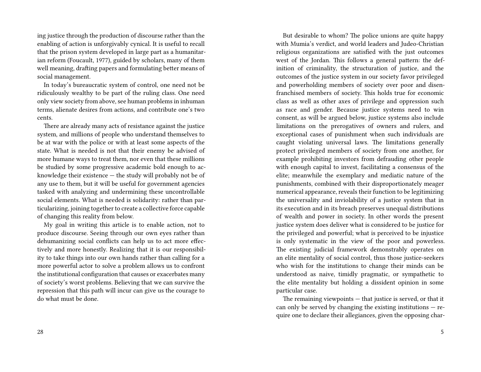ing justice through the production of discourse rather than the enabling of action is unforgivably cynical. It is useful to recall that the prison system developed in large part as a humanitarian reform (Foucault, 1977), guided by scholars, many of them well meaning, drafting papers and formulating better means of social management.

In today's bureaucratic system of control, one need not be ridiculously wealthy to be part of the ruling class. One need only view society from above, see human problems in inhuman terms, alienate desires from actions, and contribute one's two cents.

There are already many acts of resistance against the justice system, and millions of people who understand themselves to be at war with the police or with at least some aspects of the state. What is needed is not that their enemy be advised of more humane ways to treat them, nor even that these millions be studied by some progressive academic bold enough to acknowledge their existence — the study will probably not be of any use to them, but it will be useful for government agencies tasked with analyzing and undermining these uncontrollable social elements. What is needed is solidarity: rather than particularizing, joining together to create a collective force capable of changing this reality from below.

My goal in writing this article is to enable action, not to produce discourse. Seeing through our own eyes rather than dehumanizing social conflicts can help us to act more effectively and more honestly. Realizing that it is our responsibility to take things into our own hands rather than calling for a more powerful actor to solve a problem allows us to confront the institutional configuration that causes or exacerbates many of society's worst problems. Believing that we can survive the repression that this path will incur can give us the courage to do what must be done.

But desirable to whom? The police unions are quite happy with Mumia's verdict, and world leaders and Judeo-Christian religious organizations are satisfied with the just outcomes west of the Jordan. This follows a general pattern: the definition of criminality, the structuration of justice, and the outcomes of the justice system in our society favor privileged and powerholding members of society over poor and disenfranchised members of society. This holds true for economic class as well as other axes of privilege and oppression such as race and gender. Because justice systems need to win consent, as will be argued below, justice systems also include limitations on the prerogatives of owners and rulers, and exceptional cases of punishment when such individuals are caught violating universal laws. The limitations generally protect privileged members of society from one another, for example prohibiting investors from defrauding other people with enough capital to invest, facilitating a consensus of the elite; meanwhile the exemplary and mediatic nature of the punishments, combined with their disproportionately meager numerical appearance, reveals their function to be legitimizing the universality and inviolability of a justice system that in its execution and in its breach preserves unequal distributions of wealth and power in society. In other words the present justice system does deliver what is considered to be justice for the privileged and powerful; what is perceived to be injustice is only systematic in the view of the poor and powerless. The existing judicial framework demonstrably operates on an elite mentality of social control, thus those justice-seekers who wish for the institutions to change their minds can be understood as naive, timidly pragmatic, or sympathetic to the elite mentality but holding a dissident opinion in some particular case.

The remaining viewpoints — that justice is served, or that it can only be served by changing the existing institutions — require one to declare their allegiances, given the opposing char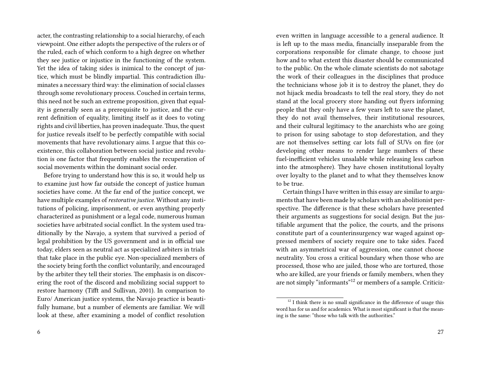acter, the contrasting relationship to a social hierarchy, of each viewpoint. One either adopts the perspective of the rulers or of the ruled, each of which conform to a high degree on whether they see justice or injustice in the functioning of the system. Yet the idea of taking sides is inimical to the concept of justice, which must be blindly impartial. This contradiction illuminates a necessary third way: the elimination of social classes through some revolutionary process. Couched in certain terms, this need not be such an extreme proposition, given that equality is generally seen as a prerequisite to justice, and the current definition of equality, limiting itself as it does to voting rights and civil liberties, has proven inadequate.Thus, the quest for justice reveals itself to be perfectly compatible with social movements that have revolutionary aims. I argue that this coexistence, this collaboration between social justice and revolution is one factor that frequently enables the recuperation of social movements within the dominant social order.

Before trying to understand how this is so, it would help us to examine just how far outside the concept of justice human societies have come. At the far end of the justice concept, we have multiple examples of *restorative justice.* Without any institutions of policing, imprisonment, or even anything properly characterized as punishment or a legal code, numerous human societies have arbitrated social conflict. In the system used traditionally by the Navajo, a system that survived a period of legal prohibition by the US government and is in official use today, elders seen as neutral act as specialized arbiters in trials that take place in the public eye. Non-specialized members of the society bring forth the conflict voluntarily, and encouraged by the arbiter they tell their stories. The emphasis is on discovering the root of the discord and mobilizing social support to restore harmony (Tifft and Sullivan, 2001). In comparison to Euro/ American justice systems, the Navajo practice is beautifully humane, but a number of elements are familiar. We will look at these, after examining a model of conflict resolution

even written in language accessible to a general audience. It is left up to the mass media, financially inseparable from the corporations responsible for climate change, to choose just how and to what extent this disaster should be communicated to the public. On the whole climate scientists do not sabotage the work of their colleagues in the disciplines that produce the technicians whose job it is to destroy the planet, they do not hijack media broadcasts to tell the real story, they do not stand at the local grocery store handing out flyers informing people that they only have a few years left to save the planet, they do not avail themselves, their institutional resources, and their cultural legitimacy to the anarchists who are going to prison for using sabotage to stop deforestation, and they are not themselves setting car lots full of SUVs on fire (or developing other means to render large numbers of these fuel-inefficient vehicles unsalable while releasing less carbon into the atmosphere). They have chosen institutional loyalty over loyalty to the planet and to what they themselves know to be true.

Certain things I have written in this essay are similar to arguments that have been made by scholars with an abolitionist perspective. The difference is that these scholars have presented their arguments as suggestions for social design. But the justifiable argument that the police, the courts, and the prisons constitute part of a counterinsurgency war waged against oppressed members of society require one to take sides. Faced with an asymmetrical war of aggression, one cannot choose neutrality. You cross a critical boundary when those who are processed, those who are jailed, those who are tortured, those who are killed, are your friends or family members, when they are not simply "informants"<sup>12</sup> or members of a sample. Criticiz-

 $12$  I think there is no small significance in the difference of usage this word has for us and for academics. What is most significant is that the meaning is the same: "those who talk with the authorities."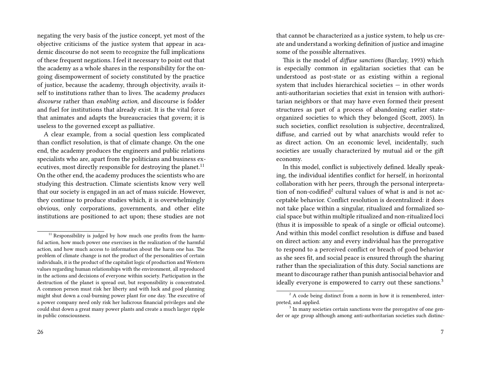negating the very basis of the justice concept, yet most of the objective criticisms of the justice system that appear in academic discourse do not seem to recognize the full implications of these frequent negations. I feel it necessary to point out that the academy as a whole shares in the responsibility for the ongoing disempowerment of society constituted by the practice of justice, because the academy, through objectivity, avails itself to institutions rather than to lives. The academy *produces discourse* rather than *enabling action*, and discourse is fodder and fuel for institutions that already exist. It is the vital force that animates and adapts the bureaucracies that govern; it is useless to the governed except as palliative.

A clear example, from a social question less complicated than conflict resolution, is that of climate change. On the one end, the academy produces the engineers and public relations specialists who are, apart from the politicians and business executives, most directly responsible for destroying the planet.<sup>11</sup> On the other end, the academy produces the scientists who are studying this destruction. Climate scientists know very well that our society is engaged in an act of mass suicide. However, they continue to produce studies which, it is overwhelmingly obvious, only corporations, governments, and other elite institutions are positioned to act upon; these studies are not

26

that cannot be characterized as a justice system, to help us create and understand a working definition of justice and imagine some of the possible alternatives.

This is the model of *diffuse sanctions* (Barclay, 1993) which is especially common in egalitarian societies that can be understood as post-state or as existing within a regional system that includes hierarchical societies — in other words anti-authoritarian societies that exist in tension with authoritarian neighbors or that may have even formed their present structures as part of a process of abandoning earlier stateorganized societies to which they belonged (Scott, 2005). In such societies, conflict resolution is subjective, decentralized, diffuse, and carried out by what anarchists would refer to as direct action. On an economic level, incidentally, such societies are usually characterized by mutual aid or the gift economy.

In this model, conflict is subjectively defined. Ideally speaking, the individual identifies conflict for herself, in horizontal collaboration with her peers, through the personal interpretation of non-codified<sup>2</sup> cultural values of what is and is not acceptable behavior. Conflict resolution is decentralized: it does not take place within a singular, ritualized and formalized social space but within multiple ritualized and non-ritualized loci (thus it is impossible to speak of a single or official outcome). And within this model conflict resolution is diffuse and based on direct action: any and every individual has the prerogative to respond to a perceived conflict or breach of good behavior as she sees fit, and social peace is ensured through the sharing rather than the specialization of this duty. Social sanctions are meant to discourage rather than punish antisocial behavior and ideally everyone is empowered to carry out these sanctions.<sup>3</sup>

 $11$  Responsibility is judged by how much one profits from the harmful action, how much power one exercises in the realization of the harmful action, and how much access to information about the harm one has. The problem of climate change is not the product of the personalities of certain individuals, it is the product of the capitalist logic of production and Western values regarding human relationships with the environment, all reproduced in the actions and decisions of everyone within society. Participation in the destruction of the planet is spread out, but responsibility is concentrated. A common person must risk her liberty and with luck and good planning might shut down a coal-burning power plant for one day. The executive of a power company need only risk her ludicrous financial privileges and she could shut down a great many power plants and create a much larger ripple in public consciousness.

 $2 A$  code being distinct from a norm in how it is remembered, interpreted, and applied.

<sup>&</sup>lt;sup>3</sup> In many societies certain sanctions were the prerogative of one gender or age group although among anti-authoritarian societies such distinc-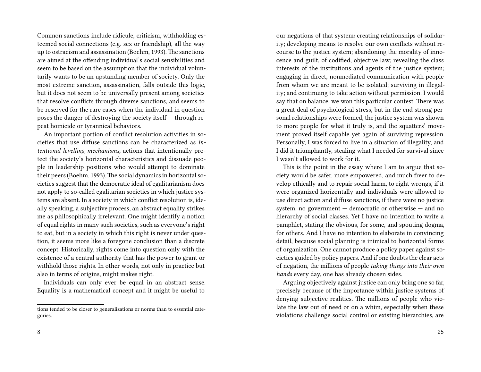Common sanctions include ridicule, criticism, withholding esteemed social connections (e.g. sex or friendship), all the way up to ostracism and assassination (Boehm, 1993). The sanctions are aimed at the offending individual's social sensibilities and seem to be based on the assumption that the individual voluntarily wants to be an upstanding member of society. Only the most extreme sanction, assassination, falls outside this logic, but it does not seem to be universally present among societies that resolve conflicts through diverse sanctions, and seems to be reserved for the rare cases when the individual in question poses the danger of destroying the society itself — through repeat homicide or tyrannical behaviors.

An important portion of conflict resolution activities in societies that use diffuse sanctions can be characterized as *intentional levelling mechanisms,* actions that intentionally protect the society's horizontal characteristics and dissuade people in leadership positions who would attempt to dominate their peers (Boehm, 1993). The social dynamics in horizontal societies suggest that the democratic ideal of egalitarianism does not apply to so-called egalitarian societies in which justice systems are absent. In a society in which conflict resolution is, ideally speaking, a subjective process, an abstract equality strikes me as philosophically irrelevant. One might identify a notion of equal rights in many such societies, such as everyone's right to eat, but in a society in which this right is never under question, it seems more like a foregone conclusion than a discrete concept. Historically, rights come into question only with the existence of a central authority that has the power to grant or withhold those rights. In other words, not only in practice but also in terms of origins, might makes right.

Individuals can only ever be equal in an abstract sense. Equality is a mathematical concept and it might be useful to

our negations of that system: creating relationships of solidarity; developing means to resolve our own conflicts without recourse to the justice system; abandoning the morality of innocence and guilt, of codified, objective law; revealing the class interests of the institutions and agents of the justice system; engaging in direct, nonmediated communication with people from whom we are meant to be isolated; surviving in illegality; and continuing to take action without permission. I would say that on balance, we won this particular contest. There was a great deal of psychological stress, but in the end strong personal relationships were formed, the justice system was shown to more people for what it truly is, and the squatters' movement proved itself capable yet again of surviving repression. Personally, I was forced to live in a situation of illegality, and I did it triumphantly, stealing what I needed for survival since I wasn't allowed to work for it.

This is the point in the essay where I am to argue that society would be safer, more empowered, and much freer to develop ethically and to repair social harm, to right wrongs, if it were organized horizontally and individuals were allowed to use direct action and diffuse sanctions, if there were no justice system, no government — democratic or otherwise — and no hierarchy of social classes. Yet I have no intention to write a pamphlet, stating the obvious, for some, and spouting dogma, for others. And I have no intention to elaborate in convincing detail, because social planning is inimical to horizontal forms of organization. One cannot produce a policy paper against societies guided by policy papers. And if one doubts the clear acts of negation, the millions of people *taking things into their own hands* every day, one has already chosen sides.

Arguing objectively against justice can only bring one so far, precisely because of the importance within justice systems of denying subjective realities. The millions of people who violate the law out of need or on a whim, especially when these violations challenge social control or existing hierarchies, are

tions tended to be closer to generalizations or norms than to essential categories.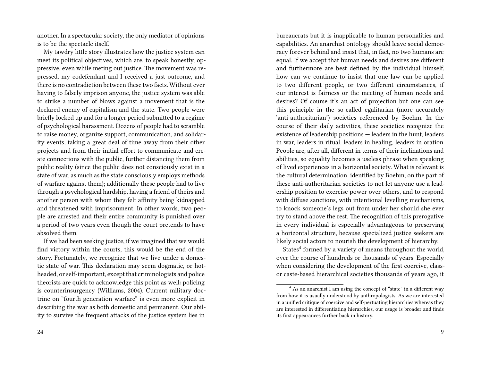another. In a spectacular society, the only mediator of opinions is to be the spectacle itself.

My tawdry little story illustrates how the justice system can meet its political objectives, which are, to speak honestly, oppressive, even while meting out justice. The movement was repressed, my codefendant and I received a just outcome, and there is no contradiction between these two facts. Without ever having to falsely imprison anyone, the justice system was able to strike a number of blows against a movement that is the declared enemy of capitalism and the state. Two people were briefly locked up and for a longer period submitted to a regime of psychological harassment. Dozens of people had to scramble to raise money, organize support, communication, and solidarity events, taking a great deal of time away from their other projects and from their initial effort to communicate and create connections with the public, further distancing them from public reality (since the public does not consciously exist in a state of war, as much as the state consciously employs methods of warfare against them); additionally these people had to live through a psychological hardship, having a friend of theirs and another person with whom they felt affinity being kidnapped and threatened with imprisonment. In other words, two people are arrested and their entire community is punished over a period of two years even though the court pretends to have absolved them.

If we had been seeking justice, if we imagined that we would find victory within the courts, this would be the end of the story. Fortunately, we recognize that we live under a domestic state of war. This declaration may seem dogmatic, or hotheaded, or self-important, except that criminologists and police theorists are quick to acknowledge this point as well: policing is counterinsurgency (Williams, 2004). Current military doctrine on "fourth generation warfare" is even more explicit in describing the war as both domestic and permanent. Our ability to survive the frequent attacks of the justice system lies in

bureaucrats but it is inapplicable to human personalities and capabilities. An anarchist ontology should leave social democracy forever behind and insist that, in fact, no two humans are equal. If we accept that human needs and desires are different and furthermore are best defined by the individual himself, how can we continue to insist that one law can be applied to two different people, or two different circumstances, if our interest is fairness or the meeting of human needs and desires? Of course it's an act of projection but one can see this principle in the so-called egalitarian (more accurately 'anti-authoritarian') societies referenced by Boehm. In the course of their daily activities, these societies recognize the existence of leadership positions — leaders in the hunt, leaders in war, leaders in ritual, leaders in healing, leaders in oration. People are, after all, different in terms of their inclinations and abilities, so equality becomes a useless phrase when speaking of lived experiences in a horizontal society. What is relevant is the cultural determination, identified by Boehm, on the part of these anti-authoritarian societies to not let anyone use a leadership position to exercise power over others, and to respond with diffuse sanctions, with intentional levelling mechanisms, to knock someone's legs out from under her should she ever try to stand above the rest. The recognition of this prerogative in every individual is especially advantageous to preserving a horizontal structure, because specialized justice seekers are likely social actors to nourish the development of hierarchy.

States<sup>4</sup> formed by a variety of means throughout the world, over the course of hundreds or thousands of years. Especially when considering the development of the first coercive, classor caste-based hierarchical societies thousands of years ago, it

<sup>&</sup>lt;sup>4</sup> As an anarchist I am using the concept of "state" in a different way from how it is usually understood by anthropologists. As we are interested in a unified critique of coercive and self-pertuating hierarchies whereas they are interested in differentiating hierarchies, our usage is broader and finds its first appearances further back in history.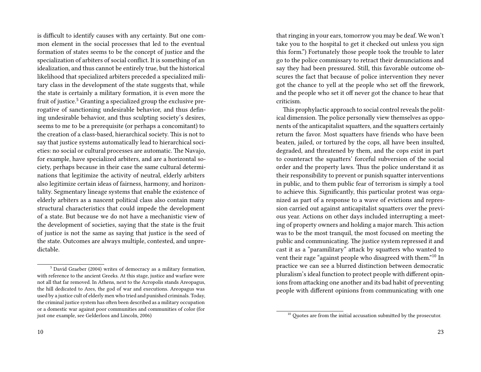is difficult to identify causes with any certainty. But one common element in the social processes that led to the eventual formation of states seems to be the concept of justice and the specialization of arbiters of social conflict. It is something of an idealization, and thus cannot be entirely true, but the historical likelihood that specialized arbiters preceded a specialized military class in the development of the state suggests that, while the state is certainly a military formation, it is even more the fruit of justice.<sup>5</sup> Granting a specialized group the exclusive prerogative of sanctioning undesirable behavior, and thus defining undesirable behavior, and thus sculpting society's desires, seems to me to be a prerequisite (or perhaps a concomitant) to the creation of a class-based, hierarchical society. This is not to say that justice systems automatically lead to hierarchical societies: no social or cultural processes are automatic. The Navajo, for example, have specialized arbiters, and are a horizontal society, perhaps because in their case the same cultural determinations that legitimize the activity of neutral, elderly arbiters also legitimize certain ideas of fairness, harmony, and horizontality. Segmentary lineage systems that enable the existence of elderly arbiters as a nascent political class also contain many structural characteristics that could impede the development of a state. But because we do not have a mechanistic view of the development of societies, saying that the state is the fruit of justice is not the same as saying that justice is the seed of the state. Outcomes are always multiple, contested, and unpredictable.

that ringing in your ears, tomorrow you may be deaf. We won't take you to the hospital to get it checked out unless you sign this form.") Fortunately those people took the trouble to later go to the police commissary to retract their denunciations and say they had been pressured. Still, this favorable outcome obscures the fact that because of police intervention they never got the chance to yell at the people who set off the firework, and the people who set it off never got the chance to hear that criticism.

This prophylactic approach to social control reveals the political dimension. The police personally view themselves as opponents of the anticapitalist squatters, and the squatters certainly return the favor. Most squatters have friends who have been beaten, jailed, or tortured by the cops, all have been insulted, degraded, and threatened by them, and the cops exist in part to counteract the squatters' forceful subversion of the social order and the property laws. Thus the police understand it as their responsibility to prevent or punish squatter interventions in public, and to them public fear of terrorism is simply a tool to achieve this. Significantly, this particular protest was organized as part of a response to a wave of evictions and repression carried out against anticapitalist squatters over the previous year. Actions on other days included interrupting a meeting of property owners and holding a major march. This action was to be the most tranquil, the most focused on meeting the public and communicating. The justice system repressed it and cast it as a "paramilitary" attack by squatters who wanted to vent their rage "against people who disagreed with them."<sup>10</sup> In practice we can see a blurred distinction between democratic pluralism's ideal function to protect people with different opinions from attacking one another and its bad habit of preventing people with different opinions from communicating with one

<sup>5</sup> David Graeber (2004) writes of democracy as a military formation, with reference to the ancient Greeks. At this stage, justice and warfare were not all that far removed. In Athens, next to the Acropolis stands Areopagus, the hill dedicated to Ares, the god of war and executions. Areopagus was used by a justice cult of elderly men who tried and punished criminals. Today, the criminal justice system has often been described as a military occupation or a domestic war against poor communities and communities of color (for just one example, see Gelderloos and Lincoln, 2006)

 $10$  Quotes are from the initial accusation submitted by the prosecutor.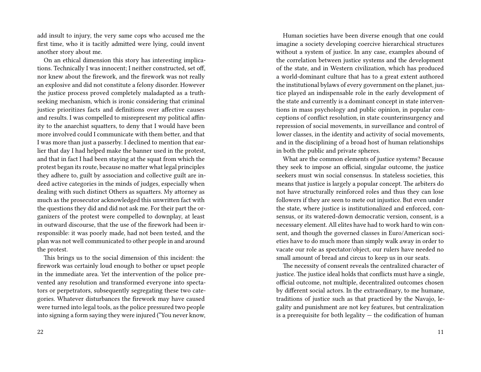add insult to injury, the very same cops who accused me the first time, who it is tacitly admitted were lying, could invent another story about me.

On an ethical dimension this story has interesting implications. Technically I was innocent; I neither constructed, set off, nor knew about the firework, and the firework was not really an explosive and did not constitute a felony disorder. However the justice process proved completely maladapted as a truthseeking mechanism, which is ironic considering that criminal justice prioritizes facts and definitions over affective causes and results. I was compelled to misrepresent my political affinity to the anarchist squatters, to deny that I would have been more involved could I communicate with them better, and that I was more than just a passerby. I declined to mention that earlier that day I had helped make the banner used in the protest, and that in fact I had been staying at the squat from which the protest began its route, because no matter what legal principles they adhere to, guilt by association and collective guilt are indeed active categories in the minds of judges, especially when dealing with such distinct Others as squatters. My attorney as much as the prosecutor acknowledged this unwritten fact with the questions they did and did not ask me. For their part the organizers of the protest were compelled to downplay, at least in outward discourse, that the use of the firework had been irresponsible: it was poorly made, had not been tested, and the plan was not well communicated to other people in and around the protest.

This brings us to the social dimension of this incident: the firework was certainly loud enough to bother or upset people in the immediate area. Yet the intervention of the police prevented any resolution and transformed everyone into spectators or perpetrators, subsequently segregating these two categories. Whatever disturbances the firework may have caused were turned into legal tools, as the police pressured two people into signing a form saying they were injured ("You never know,

Human societies have been diverse enough that one could imagine a society developing coercive hierarchical structures without a system of justice. In any case, examples abound of the correlation between justice systems and the development of the state, and in Western civilization, which has produced a world-dominant culture that has to a great extent authored the institutional bylaws of every government on the planet, justice played an indispensable role in the early development of the state and currently is a dominant concept in state interventions in mass psychology and public opinion, in popular conceptions of conflict resolution, in state counterinsurgency and repression of social movements, in surveillance and control of lower classes, in the identity and activity of social movements, and in the disciplining of a broad host of human relationships in both the public and private spheres.

What are the common elements of justice systems? Because they seek to impose an official, singular outcome, the justice seekers must win social consensus. In stateless societies, this means that justice is largely a popular concept. The arbiters do not have structurally reinforced roles and thus they can lose followers if they are seen to mete out injustice. But even under the state, where justice is institutionalized and enforced, consensus, or its watered-down democratic version, consent, is a necessary element. All elites have had to work hard to win consent, and though the governed classes in Euro/American societies have to do much more than simply walk away in order to vacate our role as spectator/object, our rulers have needed no small amount of bread and circus to keep us in our seats.

The necessity of consent reveals the centralized character of justice. The justice ideal holds that conflicts must have a single, official outcome, not multiple, decentralized outcomes chosen by different social actors. In the extraordinary, to me humane, traditions of justice such as that practiced by the Navajo, legality and punishment are not key features, but centralization is a prerequisite for both legality  $-$  the codification of human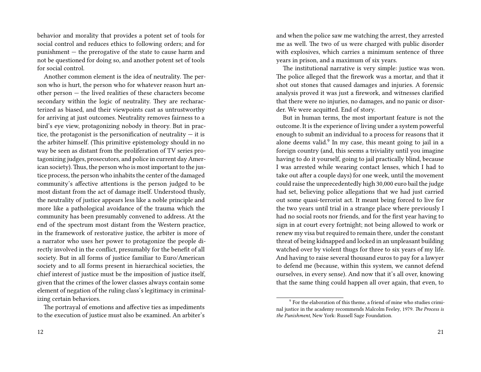behavior and morality that provides a potent set of tools for social control and reduces ethics to following orders; and for punishment — the prerogative of the state to cause harm and not be questioned for doing so, and another potent set of tools for social control.

Another common element is the idea of neutrality. The person who is hurt, the person who for whatever reason hurt another person — the lived realities of these characters become secondary within the logic of neutrality. They are recharacterized as biased, and their viewpoints cast as untrustworthy for arriving at just outcomes. Neutrality removes fairness to a bird's eye view, protagonizing nobody in theory. But in practice, the protagonist is the personification of neutrality  $-$  it is the arbiter himself. (This primitive epistemology should in no way be seen as distant from the proliferation of TV series protagonizing judges, prosecutors, and police in current day American society). Thus, the person who is most important to the justice process, the person who inhabits the center of the damaged community's affective attentions is the person judged to be most distant from the act of damage itself. Understood thusly, the neutrality of justice appears less like a noble principle and more like a pathological avoidance of the trauma which the community has been presumably convened to address. At the end of the spectrum most distant from the Western practice, in the framework of restorative justice, the arbiter is more of a narrator who uses her power to protagonize the people directly involved in the conflict, presumably for the benefit of all society. But in all forms of justice familiar to Euro/American society and to all forms present in hierarchical societies, the chief interest of justice must be the imposition of justice itself, given that the crimes of the lower classes always contain some element of negation of the ruling class's legitimacy in criminalizing certain behaviors.

The portrayal of emotions and affective ties as impediments to the execution of justice must also be examined. An arbiter's and when the police saw me watching the arrest, they arrested me as well. The two of us were charged with public disorder with explosives, which carries a minimum sentence of three years in prison, and a maximum of six years.

The institutional narrative is very simple: justice was won. The police alleged that the firework was a mortar, and that it shot out stones that caused damages and injuries. A forensic analysis proved it was just a firework, and witnesses clarified that there were no injuries, no damages, and no panic or disorder. We were acquitted. End of story.

But in human terms, the most important feature is not the outcome. It is the experience of living under a system powerful enough to submit an individual to a process for reasons that it alone deems valid.<sup>9</sup> In my case, this meant going to jail in a foreign country (and, this seems a triviality until you imagine having to do it yourself, going to jail practically blind, because I was arrested while wearing contact lenses, which I had to take out after a couple days) for one week, until the movement could raise the unprecedentedly high 30,000 euro bail the judge had set, believing police allegations that we had just carried out some quasi-terrorist act. It meant being forced to live for the two years until trial in a strange place where previously I had no social roots nor friends, and for the first year having to sign in at court every fortnight; not being allowed to work or renew my visa but required to remain there, under the constant threat of being kidnapped and locked in an unpleasant building watched over by violent thugs for three to six years of my life. And having to raise several thousand euros to pay for a lawyer to defend me (because, within this system, we cannot defend ourselves, in every sense). And now that it's all over, knowing that the same thing could happen all over again, that even, to

 $^9$  For the elaboration of this theme, a friend of mine who studies criminal justice in the academy recommends Malcolm Feeley, 1979. *The Process is the Punishment,* New York: Russell Sage Foundation.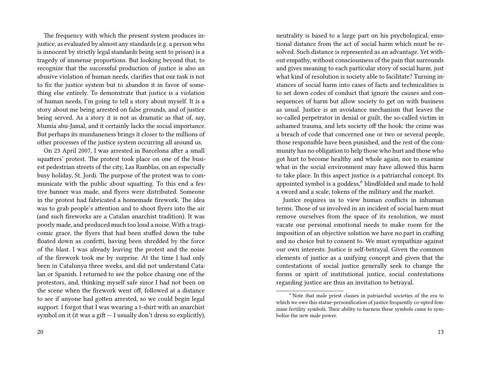The frequency with which the present system produces injustice, as evaluated by almost any standards (e.g. a person who is innocent by strictly legal standards being sent to prison) is a tragedy of immense proportions. But looking beyond that, to recognize that the successful production of justice is also an abusive violation of human needs, clarifies that our task is not to fix the justice system but to abandon it in favor of something else entirely. To demonstrate that justice is a violation of human needs, I'm going to tell a story about myself. It is a story about me being arrested on false grounds, and of justice being served. As a story it is not as dramatic as that of, say, Mumia abu-Jamal, and it certainly lacks the social importance. But perhaps its mundaneness brings it closer to the millions of other processes of the justice system occurring all around us.

On 23 April 2007, I was arrested in Barcelona after a small squatters' protest. The protest took place on one of the busiest pedestrian streets of the city, Las Ramblas, on an especially busy holiday, St. Jordi. The purpose of the protest was to communicate with the public about squatting. To this end a festive banner was made, and flyers were distributed. Someone in the protest had fabricated a homemade firework. The idea was to grab people's attention and to shoot flyers into the air (and such fireworks are a Catalan anarchist tradition). It was poorly made, and produced much too loud a noise. With a tragicomic grace, the flyers that had been stuffed down the tube floated down as confetti, having been shredded by the force of the blast. I was already leaving the protest and the noise of the firework took me by surprise. At the time I had only been in Catalunya three weeks, and did not understand Catalan or Spanish. I returned to see the police chasing one of the protestors, and, thinking myself safe since I had not been on the scene when the firework went off, followed at a distance to see if anyone had gotten arrested, so we could begin legal support. I forgot that I was wearing a t-shirt with an anarchist symbol on it (it was a gift  $-$  I usually don't dress so explicitly),

neutrality is based to a large part on his psychological, emotional distance from the act of social harm which must be resolved. Such distance is represented as an advantage. Yet without empathy, without consciousness of the pain that surrounds and gives meaning to each particular story of social harm, just what kind of resolution is society able to facilitate? Turning instances of social harm into cases of facts and technicalities is to set down codes of conduct that ignore the causes and consequences of harm but allow society to get on with business as usual. Justice is an avoidance mechanism that leaves the so-called perpetrator in denial or guilt, the so-called victim in ashamed trauma, and lets society off the hook: the crime was a breach of code that concerned one or two or several people, those responsible have been punished, and the rest of the community has no obligation to help those who hurt and those who got hurt to become healthy and whole again, nor to examine what in the social environment may have allowed this harm to take place. In this aspect justice is a patriarchal concept. Its appointed symbol is a goddess,<sup>6</sup> blindfolded and made to hold a sword and a scale, tokens of the military and the market.

Justice requires us to view human conflicts in inhuman terms. Those of us involved in an incident of social harm must remove ourselves from the space of its resolution, we must vacate our personal emotional needs to make room for the imposition of an objective solution we have no part in crafting and no choice but to consent to. We must sympathize against our own interests. Justice is self-betrayal. Given the common elements of justice as a unifying concept and given that the contestations of social justice generally seek to change the forms or spirit of institutional justice, social contestations regarding justice are thus an invitation to betrayal.

<sup>6</sup> Note that male priest classes in patriarchal societies of the era to which we owe this statue-personification of justice frequently co-opted feminine fertility symbols. Their ability to harness these symbols came to symbolize the new male power.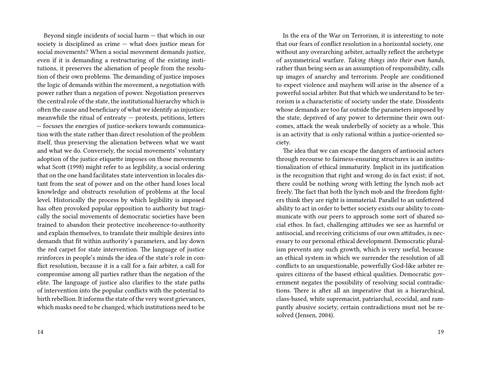Beyond single incidents of social harm — that which in our society is disciplined as crime — what does justice mean for social movements? When a social movement demands justice, even if it is demanding a restructuring of the existing institutions, it preserves the alienation of people from the resolution of their own problems. The demanding of justice imposes the logic of demands within the movement, a negotiation with power rather than a negation of power. Negotiation preserves the central role of the state, the institutional hierarchy which is often the cause and beneficiary of what we identify as injustice; meanwhile the ritual of entreaty — protests, petitions, letters — focuses the energies of justice-seekers towards communication with the state rather than direct resolution of the problem itself, thus preserving the alienation between what we want and what we do. Conversely, the social movements' voluntary adoption of the justice etiquette imposes on those movements what Scott (1998) might refer to as legibility, a social ordering that on the one hand facilitates state intervention in locales distant from the seat of power and on the other hand loses local knowledge and obstructs resolution of problems at the local level. Historically the process by which legibility is imposed has often provoked popular opposition to authority but tragically the social movements of democratic societies have been trained to abandon their protective incoherence-to-authority and explain themselves, to translate their multiple desires into demands that fit within authority's parameters, and lay down the red carpet for state intervention. The language of justice reinforces in people's minds the idea of the state's role in conflict resolution, because it is a call for a fair arbiter, a call for compromise among all parties rather than the negation of the elite. The language of justice also clarifies to the state paths of intervention into the popular conflicts with the potential to birth rebellion. It informs the state of the very worst grievances, which masks need to be changed, which institutions need to be

In the era of the War on Terrorism, it is interesting to note that our fears of conflict resolution in a horizontal society, one without any overarching arbiter, actually reflect the archetype of asymmetrical warfare. *Taking things into their own hands,* rather than being seen as an assumption of responsibility, calls up images of anarchy and terrorism. People are conditioned to expect violence and mayhem will arise in the absence of a powerful social arbiter. But that which we understand to be terrorism is a characteristic of society under the state. Dissidents whose demands are too far outside the parameters imposed by the state, deprived of any power to determine their own outcomes, attack the weak underbelly of society as a whole. This is an activity that is only rational within a justice-oriented society.

The idea that we can escape the dangers of antisocial actors through recourse to fairness-ensuring structures is an institutionalization of ethical immaturity. Implicit in its justification is the recognition that right and wrong do in fact exist; if not, there could be nothing *wrong* with letting the lynch mob act freely. The fact that both the lynch mob and the freedom fighters think they are right is immaterial. Parallel to an unfettered ability to act in order to better society exists our ability to communicate with our peers to approach some sort of shared social ethos. In fact, challenging attitudes we see as harmful or antisocial, and receiving criticisms of our own attitudes, is necessary to our personal ethical development. Democratic pluralism prevents any such growth, which is very useful, because an ethical system in which we surrender the resolution of all conflicts to an unquestionable, powerfully God-like arbiter requires citizens of the basest ethical qualities. Democratic government negates the possibility of resolving social contradictions. There is after all an imperative that in a hierarchical, class-based, white supremacist, patriarchal, ecocidal, and rampantly abusive society, certain contradictions must not be resolved (Jensen, 2004).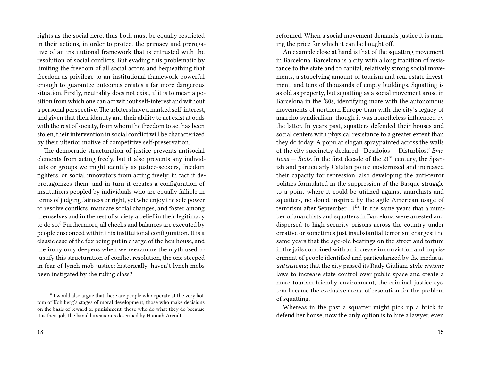rights as the social hero, thus both must be equally restricted in their actions, in order to protect the primacy and prerogative of an institutional framework that is entrusted with the resolution of social conflicts. But evading this problematic by limiting the freedom of all social actors and bequeathing that freedom as privilege to an institutional framework powerful enough to guarantee outcomes creates a far more dangerous situation. Firstly, neutrality does not exist, if it is to mean a position from which one can act without self-interest and without a personal perspective.The arbiters have a marked self-interest, and given that their identity and their ability to act exist at odds with the rest of society, from whom the freedom to act has been stolen, their intervention in social conflict will be characterized by their ulterior motive of competitive self-preservation.

The democratic structuration of justice prevents antisocial elements from acting freely, but it also prevents any individuals or groups we might identify as justice-seekers, freedom fighters, or social innovators from acting freely; in fact it deprotagonizes them, and in turn it creates a configuration of institutions peopled by individuals who are equally fallible in terms of judging fairness or right, yet who enjoy the sole power to resolve conflicts, mandate social changes, and foster among themselves and in the rest of society a belief in their legitimacy to do so.<sup>8</sup> Furthermore, all checks and balances are executed by people ensconced within this institutional configuration. It is a classic case of the fox being put in charge of the hen house, and the irony only deepens when we reexamine the myth used to justify this structuration of conflict resolution, the one steeped in fear of lynch mob-justice; historically, haven't lynch mobs been instigated by the ruling class?

reformed. When a social movement demands justice it is naming the price for which it can be bought off.

An example close at hand is that of the squatting movement in Barcelona. Barcelona is a city with a long tradition of resistance to the state and to capital, relatively strong social movements, a stupefying amount of tourism and real estate investment, and tens of thousands of empty buildings. Squatting is as old as property, but squatting as a social movement arose in Barcelona in the '80s, identifying more with the autonomous movements of northern Europe than with the city's legacy of anarcho-syndicalism, though it was nonetheless influenced by the latter. In years past, squatters defended their houses and social centers with physical resistance to a greater extent than they do today. A popular slogan spraypainted across the walls of the city succinctly declared: "Desalojos — Disturbios," *Evic* $tions - Riots$ . In the first decade of the  $21<sup>st</sup>$  century, the Spanish and particularly Catalan police modernized and increased their capacity for repression, also developing the anti-terror politics formulated in the suppression of the Basque struggle to a point where it could be utilized against anarchists and squatters, no doubt inspired by the agile American usage of terrorism after September  $11<sup>th</sup>$ . In the same years that a number of anarchists and squatters in Barcelona were arrested and dispersed to high security prisons across the country under creative or sometimes just insubstantial terrorism charges; the same years that the age-old beatings on the street and torture in the jails combined with an increase in conviction and imprisonment of people identified and particularized by the media as *antisistema*; that the city passed its Rudy Giuliani-style *civisme* laws to increase state control over public space and create a more tourism-friendly environment, the criminal justice system became the exclusive arena of resolution for the problem of squatting.

Whereas in the past a squatter might pick up a brick to defend her house, now the only option is to hire a lawyer, even

<sup>&</sup>lt;sup>8</sup> I would also argue that these are people who operate at the very bottom of Kohlberg's stages of moral development, those who make decisions on the basis of reward or punishment, those who do what they do because it is their job, the banal bureaucrats described by Hannah Arendt.